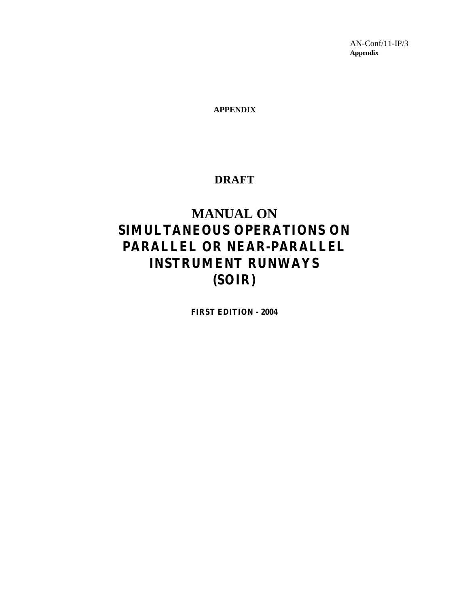AN-Conf/11-IP/3 **Appendix**

**APPENDIX**

## **DRAFT**

# **MANUAL ON SIMULTANEOUS OPERATIONS ON PARALLEL OR NEAR-PARALLEL INSTRUMENT RUNWAYS (SOIR)**

**FIRST EDITION - 2004**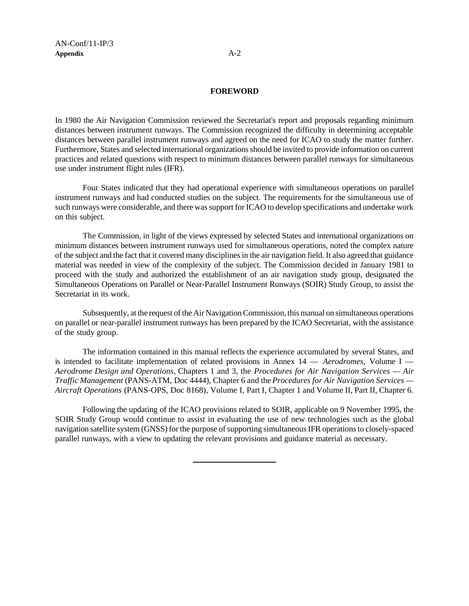### **FOREWORD**

In 1980 the Air Navigation Commission reviewed the Secretariat's report and proposals regarding minimum distances between instrument runways. The Commission recognized the difficulty in determining acceptable distances between parallel instrument runways and agreed on the need for ICAO to study the matter further. Furthermore, States and selected international organizations should be invited to provide information on current practices and related questions with respect to minimum distances between parallel runways for simultaneous use under instrument flight rules (IFR).

Four States indicated that they had operational experience with simultaneous operations on parallel instrument runways and had conducted studies on the subject. The requirements for the simultaneous use of such runways were considerable, and there was support for ICAO to develop specifications and undertake work on this subject.

The Commission, in light of the views expressed by selected States and international organizations on minimum distances between instrument runways used for simultaneous operations, noted the complex nature of the subject and the fact that it covered many disciplines in the air navigation field. It also agreed that guidance material was needed in view of the complexity of the subject. The Commission decided in January 1981 to proceed with the study and authorized the establishment of an air navigation study group, designated the Simultaneous Operations on Parallel or Near-Parallel Instrument Runways (SOIR) Study Group, to assist the Secretariat in its work.

Subsequently, at the request of the Air Navigation Commission, this manual on simultaneous operations on parallel or near-parallel instrument runways has been prepared by the ICAO Secretariat, with the assistance of the study group.

The information contained in this manual reflects the experience accumulated by several States, and is intended to facilitate implementation of related provisions in Annex 14 — *Aerodromes*, Volume I — *Aerodrome Design and Operations*, Chapters 1 and 3, the *Procedures for Air Navigation Services — Air Traffic Management* (PANS-ATM, Doc 4444), Chapter 6 and the *Procedures for Air Navigation Services — Aircraft Operations* (PANS-OPS, Doc 8168), Volume I, Part I, Chapter 1 and Volume II, Part II, Chapter 6.

Following the updating of the ICAO provisions related to SOIR, applicable on 9 November 1995, the SOIR Study Group would continue to assist in evaluating the use of new technologies such as the global navigation satellite system (GNSS) for the purpose of supporting simultaneous IFR operations to closely-spaced parallel runways, with a view to updating the relevant provisions and guidance material as necessary.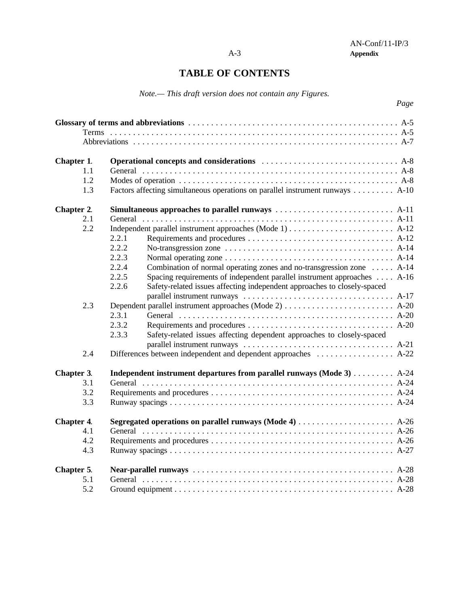# **TABLE OF CONTENTS**

*Note.— This draft version does not contain any Figures.*

|                   | Page                                                                              |
|-------------------|-----------------------------------------------------------------------------------|
|                   |                                                                                   |
|                   |                                                                                   |
|                   |                                                                                   |
| Chapter 1.        |                                                                                   |
| 1.1               |                                                                                   |
| 1.2               |                                                                                   |
| 1.3               | Factors affecting simultaneous operations on parallel instrument runways A-10     |
| Chapter 2.        |                                                                                   |
| 2.1               |                                                                                   |
| 2.2               |                                                                                   |
|                   | 2.2.1                                                                             |
|                   | 2.2.2                                                                             |
|                   | 2.2.3                                                                             |
|                   | 2.2.4<br>Combination of normal operating zones and no-transgression zone  A-14    |
|                   | 2.2.5<br>Spacing requirements of independent parallel instrument approaches  A-16 |
|                   | 2.2.6<br>Safety-related issues affecting independent approaches to closely-spaced |
|                   |                                                                                   |
| 2.3               |                                                                                   |
|                   | 2.3.1                                                                             |
|                   | 2.3.2                                                                             |
|                   | 2.3.3<br>Safety-related issues affecting dependent approaches to closely-spaced   |
|                   |                                                                                   |
| 2.4               | Differences between independent and dependent approaches  A-22                    |
| Chapter 3.        | Independent instrument departures from parallel runways (Mode 3) A-24             |
| 3.1               |                                                                                   |
| 3.2               |                                                                                   |
| 3.3               |                                                                                   |
| <b>Chapter 4.</b> |                                                                                   |
| 4.1               |                                                                                   |
| 4.2               |                                                                                   |
| 4.3               |                                                                                   |
| Chapter 5.        |                                                                                   |
| 5.1               |                                                                                   |
| 5.2               |                                                                                   |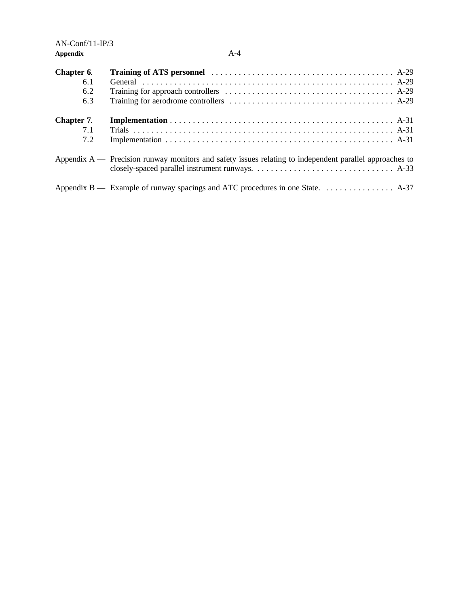| Chapter 6. |                                                                                                           |
|------------|-----------------------------------------------------------------------------------------------------------|
| 6.1        |                                                                                                           |
| 6.2        |                                                                                                           |
| 6.3        |                                                                                                           |
| Chapter 7. |                                                                                                           |
| 7.1        |                                                                                                           |
| 7.2        |                                                                                                           |
|            | Appendix $A$ — Precision runway monitors and safety issues relating to independent parallel approaches to |
|            |                                                                                                           |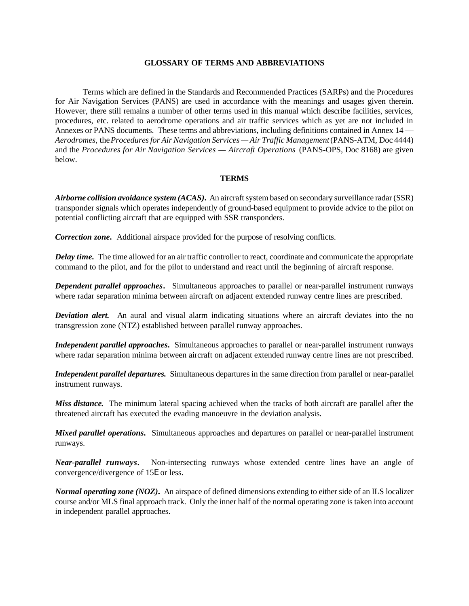### **GLOSSARY OF TERMS AND ABBREVIATIONS**

Terms which are defined in the Standards and Recommended Practices (SARPs) and the Procedures for Air Navigation Services (PANS) are used in accordance with the meanings and usages given therein. However, there still remains a number of other terms used in this manual which describe facilities, services, procedures, etc. related to aerodrome operations and air traffic services which as yet are not included in Annexes or PANS documents. These terms and abbreviations, including definitions contained in Annex 14 — *Aerodromes*, the *Procedures for Air Navigation Services — Air Traffic Management* (PANS-ATM, Doc 4444) and the *Procedures for Air Navigation Services — Aircraft Operations* (PANS-OPS, Doc 8168) are given below.

### **TERMS**

*Airborne collision avoidance system (ACAS)***.** An aircraft system based on secondary surveillance radar (SSR) transponder signals which operates independently of ground-based equipment to provide advice to the pilot on potential conflicting aircraft that are equipped with SSR transponders.

*Correction zone***.** Additional airspace provided for the purpose of resolving conflicts.

*Delay time***.** The time allowed for an air traffic controller to react, coordinate and communicate the appropriate command to the pilot, and for the pilot to understand and react until the beginning of aircraft response.

*Dependent parallel approaches***.** Simultaneous approaches to parallel or near-parallel instrument runways where radar separation minima between aircraft on adjacent extended runway centre lines are prescribed.

*Deviation alert.* An aural and visual alarm indicating situations where an aircraft deviates into the no transgression zone (NTZ) established between parallel runway approaches.

*Independent parallel approaches***.** Simultaneous approaches to parallel or near-parallel instrument runways where radar separation minima between aircraft on adjacent extended runway centre lines are not prescribed.

*Independent parallel departures.* Simultaneous departures in the same direction from parallel or near-parallel instrument runways.

*Miss distance.* The minimum lateral spacing achieved when the tracks of both aircraft are parallel after the threatened aircraft has executed the evading manoeuvre in the deviation analysis.

*Mixed parallel operations***.** Simultaneous approaches and departures on parallel or near-parallel instrument runways.

*Near-parallel runways***.** Non-intersecting runways whose extended centre lines have an angle of convergence/divergence of 15E or less.

*Normal operating zone (NOZ)***.** An airspace of defined dimensions extending to either side of an ILS localizer course and/or MLS final approach track. Only the inner half of the normal operating zone is taken into account in independent parallel approaches.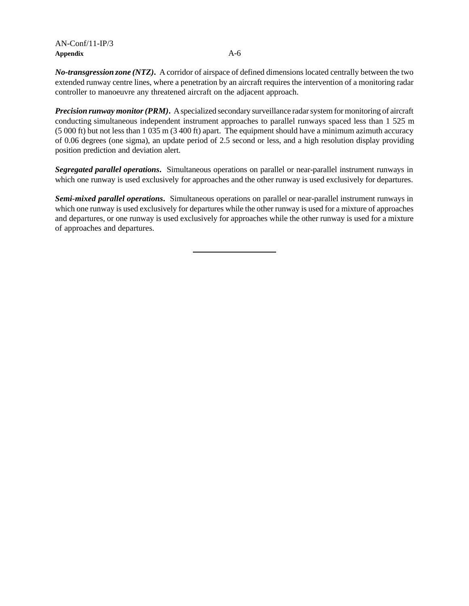*No-transgression zone (NTZ)***.** A corridor of airspace of defined dimensions located centrally between the two extended runway centre lines, where a penetration by an aircraft requires the intervention of a monitoring radar controller to manoeuvre any threatened aircraft on the adjacent approach.

*Precision runway monitor (PRM)***.** A specialized secondary surveillance radar system for monitoring of aircraft conducting simultaneous independent instrument approaches to parallel runways spaced less than 1 525 m (5 000 ft) but not less than 1 035 m (3 400 ft) apart. The equipment should have a minimum azimuth accuracy of 0.06 degrees (one sigma), an update period of 2.5 second or less, and a high resolution display providing position prediction and deviation alert.

*Segregated parallel operations***.** Simultaneous operations on parallel or near-parallel instrument runways in which one runway is used exclusively for approaches and the other runway is used exclusively for departures.

*Semi-mixed parallel operations***.** Simultaneous operations on parallel or near-parallel instrument runways in which one runway is used exclusively for departures while the other runway is used for a mixture of approaches and departures, or one runway is used exclusively for approaches while the other runway is used for a mixture of approaches and departures.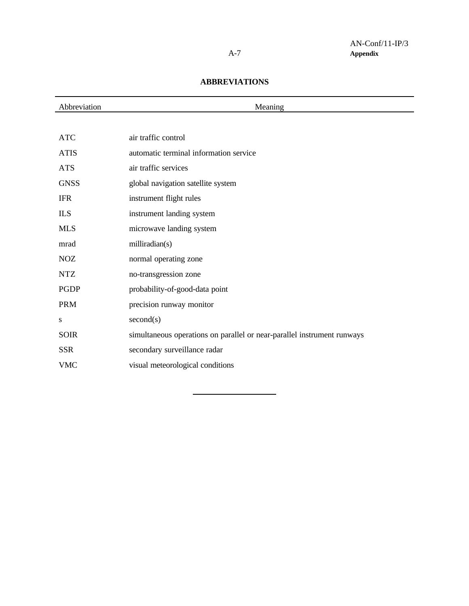## **ABBREVIATIONS**

| Abbreviation | Meaning                                                                 |
|--------------|-------------------------------------------------------------------------|
|              |                                                                         |
| <b>ATC</b>   | air traffic control                                                     |
| <b>ATIS</b>  | automatic terminal information service                                  |
| <b>ATS</b>   | air traffic services                                                    |
| <b>GNSS</b>  | global navigation satellite system                                      |
| <b>IFR</b>   | instrument flight rules                                                 |
| ILS          | instrument landing system                                               |
| <b>MLS</b>   | microwave landing system                                                |
| mrad         | milliradian(s)                                                          |
| <b>NOZ</b>   | normal operating zone                                                   |
| <b>NTZ</b>   | no-transgression zone                                                   |
| <b>PGDP</b>  | probability-of-good-data point                                          |
| <b>PRM</b>   | precision runway monitor                                                |
| S            | second(s)                                                               |
| <b>SOIR</b>  | simultaneous operations on parallel or near-parallel instrument runways |
| <b>SSR</b>   | secondary surveillance radar                                            |
| <b>VMC</b>   | visual meteorological conditions                                        |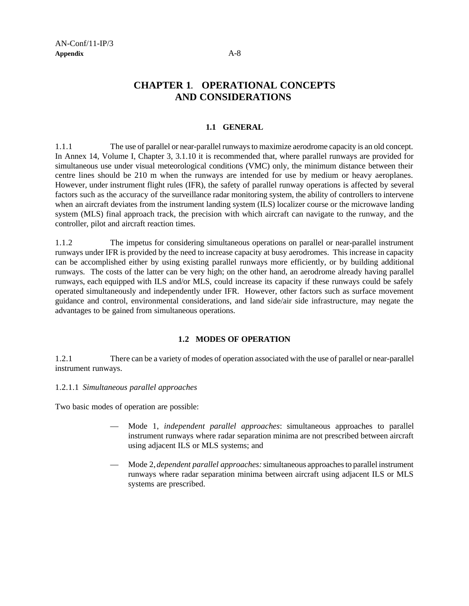## **CHAPTER 1**. **OPERATIONAL CONCEPTS AND CONSIDERATIONS**

## **1.1 GENERAL**

1.1.1 The use of parallel or near-parallel runways to maximize aerodrome capacity is an old concept. In Annex 14, Volume I, Chapter 3, 3.1.10 it is recommended that, where parallel runways are provided for simultaneous use under visual meteorological conditions (VMC) only, the minimum distance between their centre lines should be 210 m when the runways are intended for use by medium or heavy aeroplanes. However, under instrument flight rules (IFR), the safety of parallel runway operations is affected by several factors such as the accuracy of the surveillance radar monitoring system, the ability of controllers to intervene when an aircraft deviates from the instrument landing system (ILS) localizer course or the microwave landing system (MLS) final approach track, the precision with which aircraft can navigate to the runway, and the controller, pilot and aircraft reaction times.

1.1.2 The impetus for considering simultaneous operations on parallel or near-parallel instrument runways under IFR is provided by the need to increase capacity at busy aerodromes. This increase in capacity can be accomplished either by using existing parallel runways more efficiently, or by building additional runways. The costs of the latter can be very high; on the other hand, an aerodrome already having parallel runways, each equipped with ILS and/or MLS, could increase its capacity if these runways could be safely operated simultaneously and independently under IFR. However, other factors such as surface movement guidance and control, environmental considerations, and land side/air side infrastructure, may negate the advantages to be gained from simultaneous operations.

## **1.2 MODES OF OPERATION**

1.2.1 There can be a variety of modes of operation associated with the use of parallel or near-parallel instrument runways.

### 1.2.1.1 *Simultaneous parallel approaches*

Two basic modes of operation are possible:

- Mode 1, *independent parallel approaches*: simultaneous approaches to parallel instrument runways where radar separation minima are not prescribed between aircraft using adjacent ILS or MLS systems; and
- Mode 2, *dependent parallel approaches:* simultaneous approaches to parallel instrument runways where radar separation minima between aircraft using adjacent ILS or MLS systems are prescribed.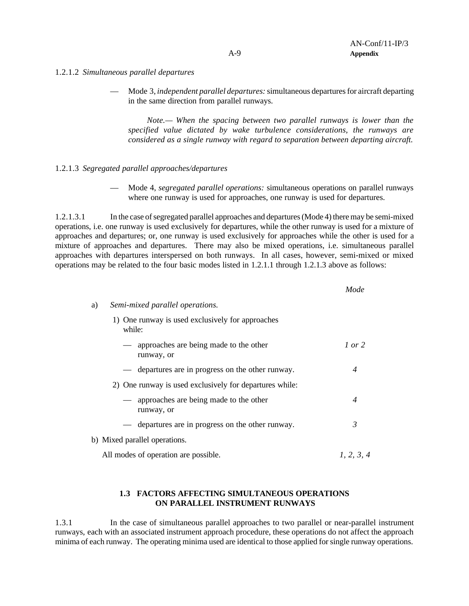- 1.2.1.2 *Simultaneous parallel departures*
	- Mode 3, *independent parallel departures:* simultaneous departures for aircraft departing in the same direction from parallel runways.

*Note.— When the spacing between two parallel runways is lower than the specified value dictated by wake turbulence considerations, the runways are considered as a single runway with regard to separation between departing aircraft.*

## 1.2.1.3 *Segregated parallel approaches/departures*

— Mode 4, *segregated parallel operations:* simultaneous operations on parallel runways where one runway is used for approaches, one runway is used for departures.

1.2.1.3.1 In the case of segregated parallel approaches and departures (Mode 4) there may be semi-mixed operations, i.e. one runway is used exclusively for departures, while the other runway is used for a mixture of approaches and departures; or, one runway is used exclusively for approaches while the other is used for a mixture of approaches and departures. There may also be mixed operations, i.e. simultaneous parallel approaches with departures interspersed on both runways. In all cases, however, semi-mixed or mixed operations may be related to the four basic modes listed in 1.2.1.1 through 1.2.1.3 above as follows:

|    |                                                               | Mode           |
|----|---------------------------------------------------------------|----------------|
| a) | Semi-mixed parallel operations.                               |                |
|    | One runway is used exclusively for approaches<br>1)<br>while: |                |
|    | approaches are being made to the other<br>runway, or          | $1$ or $2$     |
|    | — departures are in progress on the other runway.             | $\overline{A}$ |
|    | 2) One runway is used exclusively for departures while:       |                |
|    | - approaches are being made to the other<br>runway, or        | $\overline{4}$ |
|    | — departures are in progress on the other runway.             | 3              |
|    | b) Mixed parallel operations.                                 |                |
|    | All modes of operation are possible.                          | 1, 2, 3, 4     |
|    |                                                               |                |

## **1.3 FACTORS AFFECTING SIMULTANEOUS OPERATIONS ON PARALLEL INSTRUMENT RUNWAYS**

1.3.1 In the case of simultaneous parallel approaches to two parallel or near-parallel instrument runways, each with an associated instrument approach procedure, these operations do not affect the approach minima of each runway. The operating minima used are identical to those applied for single runway operations.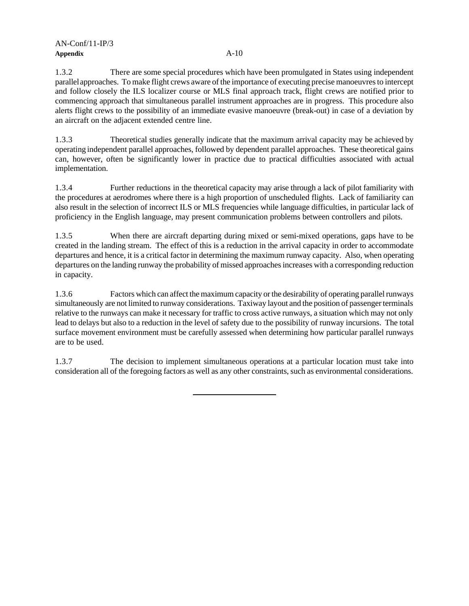1.3.2 There are some special procedures which have been promulgated in States using independent parallel approaches. To make flight crews aware of the importance of executing precise manoeuvres to intercept and follow closely the ILS localizer course or MLS final approach track, flight crews are notified prior to commencing approach that simultaneous parallel instrument approaches are in progress. This procedure also alerts flight crews to the possibility of an immediate evasive manoeuvre (break-out) in case of a deviation by an aircraft on the adjacent extended centre line.

1.3.3 Theoretical studies generally indicate that the maximum arrival capacity may be achieved by operating independent parallel approaches, followed by dependent parallel approaches. These theoretical gains can, however, often be significantly lower in practice due to practical difficulties associated with actual implementation.

1.3.4 Further reductions in the theoretical capacity may arise through a lack of pilot familiarity with the procedures at aerodromes where there is a high proportion of unscheduled flights. Lack of familiarity can also result in the selection of incorrect ILS or MLS frequencies while language difficulties, in particular lack of proficiency in the English language, may present communication problems between controllers and pilots.

1.3.5 When there are aircraft departing during mixed or semi-mixed operations, gaps have to be created in the landing stream. The effect of this is a reduction in the arrival capacity in order to accommodate departures and hence, it is a critical factor in determining the maximum runway capacity. Also, when operating departures on the landing runway the probability of missed approaches increases with a corresponding reduction in capacity.

1.3.6 Factors which can affect the maximum capacity or the desirability of operating parallel runways simultaneously are not limited to runway considerations. Taxiway layout and the position of passenger terminals relative to the runways can make it necessary for traffic to cross active runways, a situation which may not only lead to delays but also to a reduction in the level of safety due to the possibility of runway incursions. The total surface movement environment must be carefully assessed when determining how particular parallel runways are to be used.

1.3.7 The decision to implement simultaneous operations at a particular location must take into consideration all of the foregoing factors as well as any other constraints, such as environmental considerations.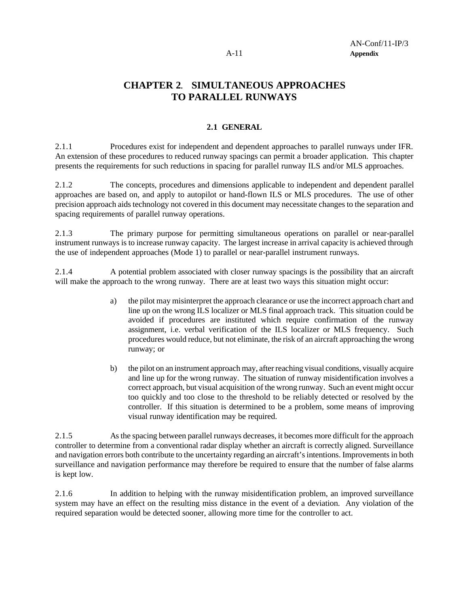## **CHAPTER 2**. **SIMULTANEOUS APPROACHES TO PARALLEL RUNWAYS**

## **2.1 GENERAL**

2.1.1 Procedures exist for independent and dependent approaches to parallel runways under IFR. An extension of these procedures to reduced runway spacings can permit a broader application. This chapter presents the requirements for such reductions in spacing for parallel runway ILS and/or MLS approaches.

2.1.2 The concepts, procedures and dimensions applicable to independent and dependent parallel approaches are based on, and apply to autopilot or hand-flown ILS or MLS procedures. The use of other precision approach aids technology not covered in this document may necessitate changes to the separation and spacing requirements of parallel runway operations.

2.1.3 The primary purpose for permitting simultaneous operations on parallel or near-parallel instrument runways is to increase runway capacity. The largest increase in arrival capacity is achieved through the use of independent approaches (Mode 1) to parallel or near-parallel instrument runways.

2.1.4 A potential problem associated with closer runway spacings is the possibility that an aircraft will make the approach to the wrong runway. There are at least two ways this situation might occur:

- a) the pilot may misinterpret the approach clearance or use the incorrect approach chart and line up on the wrong ILS localizer or MLS final approach track. This situation could be avoided if procedures are instituted which require confirmation of the runway assignment, i.e. verbal verification of the ILS localizer or MLS frequency. Such procedures would reduce, but not eliminate, the risk of an aircraft approaching the wrong runway; or
- b) the pilot on an instrument approach may, after reaching visual conditions, visually acquire and line up for the wrong runway. The situation of runway misidentification involves a correct approach, but visual acquisition of the wrong runway. Such an event might occur too quickly and too close to the threshold to be reliably detected or resolved by the controller. If this situation is determined to be a problem, some means of improving visual runway identification may be required.

2.1.5 As the spacing between parallel runways decreases, it becomes more difficult for the approach controller to determine from a conventional radar display whether an aircraft is correctly aligned. Surveillance and navigation errors both contribute to the uncertainty regarding an aircraft's intentions. Improvements in both surveillance and navigation performance may therefore be required to ensure that the number of false alarms is kept low.

2.1.6 In addition to helping with the runway misidentification problem, an improved surveillance system may have an effect on the resulting miss distance in the event of a deviation. Any violation of the required separation would be detected sooner, allowing more time for the controller to act.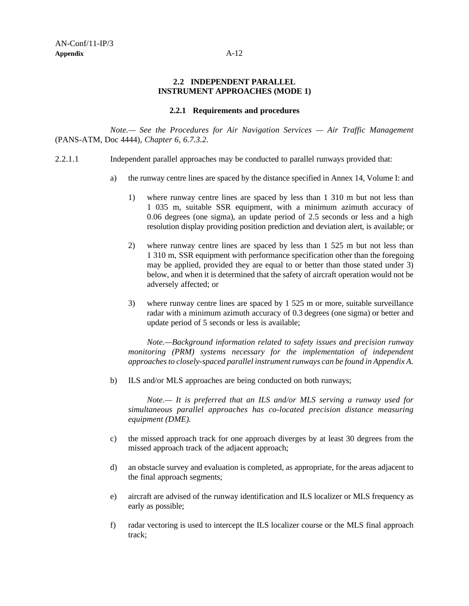## **2.2 INDEPENDENT PARALLEL INSTRUMENT APPROACHES (MODE 1)**

### **2.2.1 Requirements and procedures**

*Note.— See the Procedures for Air Navigation Services — Air Traffic Management* (PANS-ATM, Doc 4444)*, Chapter 6, 6.7.3.2.*

- 2.2.1.1 Independent parallel approaches may be conducted to parallel runways provided that:
	- a) the runway centre lines are spaced by the distance specified in Annex 14, Volume I: and
		- 1) where runway centre lines are spaced by less than 1 310 m but not less than 1 035 m, suitable SSR equipment, with a minimum azimuth accuracy of 0.06 degrees (one sigma), an update period of 2.5 seconds or less and a high resolution display providing position prediction and deviation alert, is available; or
		- 2) where runway centre lines are spaced by less than 1 525 m but not less than 1 310 m, SSR equipment with performance specification other than the foregoing may be applied, provided they are equal to or better than those stated under 3) below, and when it is determined that the safety of aircraft operation would not be adversely affected; or
		- 3) where runway centre lines are spaced by 1 525 m or more, suitable surveillance radar with a minimum azimuth accuracy of 0.3 degrees (one sigma) or better and update period of 5 seconds or less is available;

*Note.—Background information related to safety issues and precision runway monitoring (PRM) systems necessary for the implementation of independent approaches to closely-spaced parallel instrument runways can be found in Appendix A.*

b) ILS and/or MLS approaches are being conducted on both runways;

*Note.— It is preferred that an ILS and/or MLS serving a runway used for simultaneous parallel approaches has co-located precision distance measuring equipment (DME).*

- c) the missed approach track for one approach diverges by at least 30 degrees from the missed approach track of the adjacent approach;
- d) an obstacle survey and evaluation is completed, as appropriate, for the areas adjacent to the final approach segments;
- e) aircraft are advised of the runway identification and ILS localizer or MLS frequency as early as possible;
- f) radar vectoring is used to intercept the ILS localizer course or the MLS final approach track;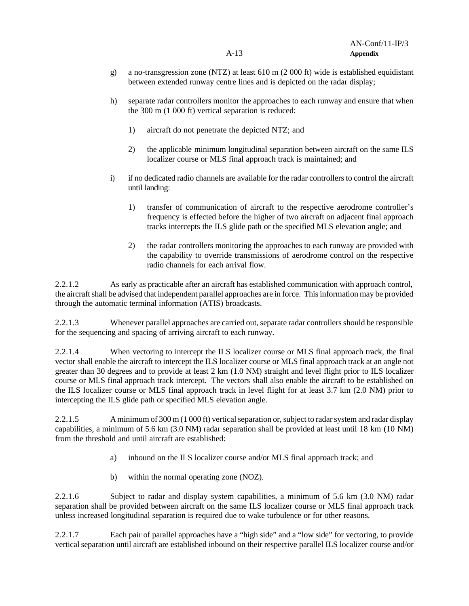- g) a no-transgression zone (NTZ) at least 610 m (2 000 ft) wide is established equidistant between extended runway centre lines and is depicted on the radar display;
- h) separate radar controllers monitor the approaches to each runway and ensure that when the 300 m (1 000 ft) vertical separation is reduced:
	- 1) aircraft do not penetrate the depicted NTZ; and
	- 2) the applicable minimum longitudinal separation between aircraft on the same ILS localizer course or MLS final approach track is maintained; and
- i) if no dedicated radio channels are available for the radar controllers to control the aircraft until landing:
	- 1) transfer of communication of aircraft to the respective aerodrome controller's frequency is effected before the higher of two aircraft on adjacent final approach tracks intercepts the ILS glide path or the specified MLS elevation angle; and
	- 2) the radar controllers monitoring the approaches to each runway are provided with the capability to override transmissions of aerodrome control on the respective radio channels for each arrival flow.

2.2.1.2 As early as practicable after an aircraft has established communication with approach control, the aircraft shall be advised that independent parallel approaches are in force. This information may be provided through the automatic terminal information (ATIS) broadcasts.

2.2.1.3 Whenever parallel approaches are carried out, separate radar controllers should be responsible for the sequencing and spacing of arriving aircraft to each runway.

2.2.1.4 When vectoring to intercept the ILS localizer course or MLS final approach track, the final vector shall enable the aircraft to intercept the ILS localizer course or MLS final approach track at an angle not greater than 30 degrees and to provide at least 2 km (1.0 NM) straight and level flight prior to ILS localizer course or MLS final approach track intercept. The vectors shall also enable the aircraft to be established on the ILS localizer course or MLS final approach track in level flight for at least 3.7 km (2.0 NM) prior to intercepting the ILS glide path or specified MLS elevation angle.

2.2.1.5 A minimum of 300 m (1 000 ft) vertical separation or, subject to radar system and radar display capabilities, a minimum of 5.6 km (3.0 NM) radar separation shall be provided at least until 18 km (10 NM) from the threshold and until aircraft are established:

- a) inbound on the ILS localizer course and/or MLS final approach track; and
- b) within the normal operating zone (NOZ).

2.2.1.6 Subject to radar and display system capabilities, a minimum of 5.6 km (3.0 NM) radar separation shall be provided between aircraft on the same ILS localizer course or MLS final approach track unless increased longitudinal separation is required due to wake turbulence or for other reasons.

2.2.1.7 Each pair of parallel approaches have a "high side" and a "low side" for vectoring, to provide vertical separation until aircraft are established inbound on their respective parallel ILS localizer course and/or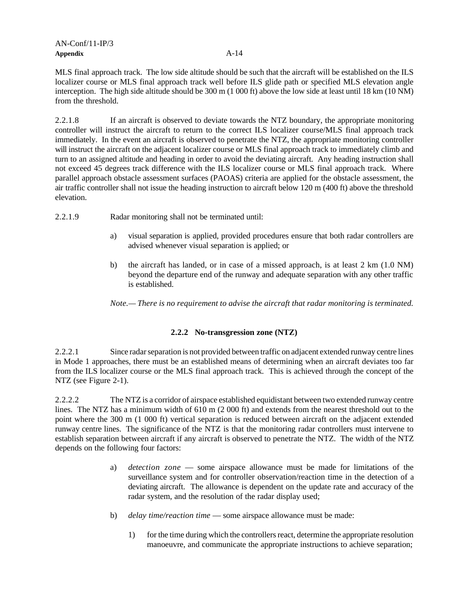MLS final approach track. The low side altitude should be such that the aircraft will be established on the ILS localizer course or MLS final approach track well before ILS glide path or specified MLS elevation angle interception. The high side altitude should be 300 m (1 000 ft) above the low side at least until 18 km (10 NM) from the threshold.

2.2.1.8 If an aircraft is observed to deviate towards the NTZ boundary, the appropriate monitoring controller will instruct the aircraft to return to the correct ILS localizer course/MLS final approach track immediately. In the event an aircraft is observed to penetrate the NTZ, the appropriate monitoring controller will instruct the aircraft on the adjacent localizer course or MLS final approach track to immediately climb and turn to an assigned altitude and heading in order to avoid the deviating aircraft. Any heading instruction shall not exceed 45 degrees track difference with the ILS localizer course or MLS final approach track. Where parallel approach obstacle assessment surfaces (PAOAS) criteria are applied for the obstacle assessment, the air traffic controller shall not issue the heading instruction to aircraft below 120 m (400 ft) above the threshold elevation.

- 2.2.1.9 Radar monitoring shall not be terminated until:
	- a) visual separation is applied, provided procedures ensure that both radar controllers are advised whenever visual separation is applied; or
	- b) the aircraft has landed, or in case of a missed approach, is at least 2 km (1.0 NM) beyond the departure end of the runway and adequate separation with any other traffic is established.

*Note.— There is no requirement to advise the aircraft that radar monitoring is terminated.*

## **2.2.2 No-transgression zone (NTZ)**

2.2.2.1 Since radar separation is not provided between traffic on adjacent extended runway centre lines in Mode 1 approaches, there must be an established means of determining when an aircraft deviates too far from the ILS localizer course or the MLS final approach track. This is achieved through the concept of the NTZ (see Figure 2-1).

2.2.2.2 The NTZ is a corridor of airspace established equidistant between two extended runway centre lines. The NTZ has a minimum width of 610 m (2 000 ft) and extends from the nearest threshold out to the point where the 300 m (1 000 ft) vertical separation is reduced between aircraft on the adjacent extended runway centre lines. The significance of the NTZ is that the monitoring radar controllers must intervene to establish separation between aircraft if any aircraft is observed to penetrate the NTZ. The width of the NTZ depends on the following four factors:

- a) *detection zone* some airspace allowance must be made for limitations of the surveillance system and for controller observation/reaction time in the detection of a deviating aircraft. The allowance is dependent on the update rate and accuracy of the radar system, and the resolution of the radar display used;
- b) *delay time/reaction time* some airspace allowance must be made:
	- 1) for the time during which the controllers react, determine the appropriate resolution manoeuvre, and communicate the appropriate instructions to achieve separation;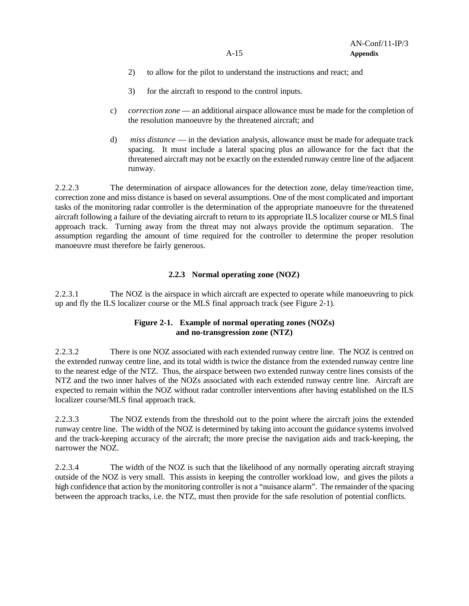- 2) to allow for the pilot to understand the instructions and react; and
- 3) for the aircraft to respond to the control inputs.
- c) *correction zone* an additional airspace allowance must be made for the completion of the resolution manoeuvre by the threatened aircraft; and
- d) *miss distance* in the deviation analysis, allowance must be made for adequate track spacing. It must include a lateral spacing plus an allowance for the fact that the threatened aircraft may not be exactly on the extended runway centre line of the adjacent runway.

2.2.2.3 The determination of airspace allowances for the detection zone, delay time/reaction time, correction zone and miss distance is based on several assumptions. One of the most complicated and important tasks of the monitoring radar controller is the determination of the appropriate manoeuvre for the threatened aircraft following a failure of the deviating aircraft to return to its appropriate ILS localizer course or MLS final approach track. Turning away from the threat may not always provide the optimum separation. The assumption regarding the amount of time required for the controller to determine the proper resolution manoeuvre must therefore be fairly generous.

## **2.2.3 Normal operating zone (NOZ)**

2.2.3.1 The NOZ is the airspace in which aircraft are expected to operate while manoeuvring to pick up and fly the ILS localizer course or the MLS final approach track (see Figure 2-1).

## **Figure 2-1. Example of normal operating zones (NOZs) and no-transgression zone (NTZ)**

2.2.3.2 There is one NOZ associated with each extended runway centre line. The NOZ is centred on the extended runway centre line, and its total width is twice the distance from the extended runway centre line to the nearest edge of the NTZ. Thus, the airspace between two extended runway centre lines consists of the NTZ and the two inner halves of the NOZs associated with each extended runway centre line. Aircraft are expected to remain within the NOZ without radar controller interventions after having established on the ILS localizer course/MLS final approach track.

2.2.3.3 The NOZ extends from the threshold out to the point where the aircraft joins the extended runway centre line. The width of the NOZ is determined by taking into account the guidance systems involved and the track-keeping accuracy of the aircraft; the more precise the navigation aids and track-keeping, the narrower the NOZ.

2.2.3.4 The width of the NOZ is such that the likelihood of any normally operating aircraft straying outside of the NOZ is very small. This assists in keeping the controller workload low, and gives the pilots a high confidence that action by the monitoring controller is not a "nuisance alarm". The remainder of the spacing between the approach tracks, i.e. the NTZ, must then provide for the safe resolution of potential conflicts.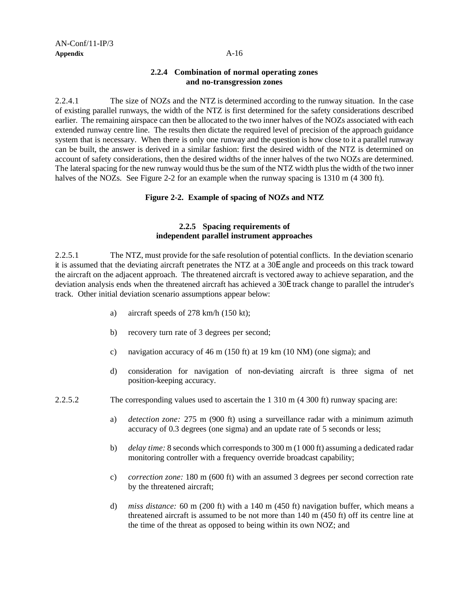## **2.2.4 Combination of normal operating zones and no-transgression zones**

2.2.4.1 The size of NOZs and the NTZ is determined according to the runway situation. In the case of existing parallel runways, the width of the NTZ is first determined for the safety considerations described earlier. The remaining airspace can then be allocated to the two inner halves of the NOZs associated with each extended runway centre line. The results then dictate the required level of precision of the approach guidance system that is necessary. When there is only one runway and the question is how close to it a parallel runway can be built, the answer is derived in a similar fashion: first the desired width of the NTZ is determined on account of safety considerations, then the desired widths of the inner halves of the two NOZs are determined. The lateral spacing for the new runway would thus be the sum of the NTZ width plus the width of the two inner halves of the NOZs. See Figure 2-2 for an example when the runway spacing is 1310 m (4 300 ft).

## **Figure 2-2. Example of spacing of NOZs and NTZ**

## **2.2.5 Spacing requirements of independent parallel instrument approaches**

2.2.5.1 The NTZ, must provide for the safe resolution of potential conflicts. In the deviation scenario it is assumed that the deviating aircraft penetrates the NTZ at a 30E angle and proceeds on this track toward the aircraft on the adjacent approach. The threatened aircraft is vectored away to achieve separation, and the deviation analysis ends when the threatened aircraft has achieved a 30E track change to parallel the intruder's track. Other initial deviation scenario assumptions appear below:

- a) aircraft speeds of 278 km/h (150 kt);
- b) recovery turn rate of 3 degrees per second;
- c) navigation accuracy of 46 m (150 ft) at 19 km (10 NM) (one sigma); and
- d) consideration for navigation of non-deviating aircraft is three sigma of net position-keeping accuracy.

2.2.5.2 The corresponding values used to ascertain the 1 310 m (4 300 ft) runway spacing are:

- a) *detection zone:* 275 m (900 ft) using a surveillance radar with a minimum azimuth accuracy of 0.3 degrees (one sigma) and an update rate of 5 seconds or less;
- b) *delay time:* 8 seconds which corresponds to 300 m (1 000 ft) assuming a dedicated radar monitoring controller with a frequency override broadcast capability;
- c) *correction zone:* 180 m (600 ft) with an assumed 3 degrees per second correction rate by the threatened aircraft;
- d) *miss distance:* 60 m (200 ft) with a 140 m (450 ft) navigation buffer, which means a threatened aircraft is assumed to be not more than 140 m (450 ft) off its centre line at the time of the threat as opposed to being within its own NOZ; and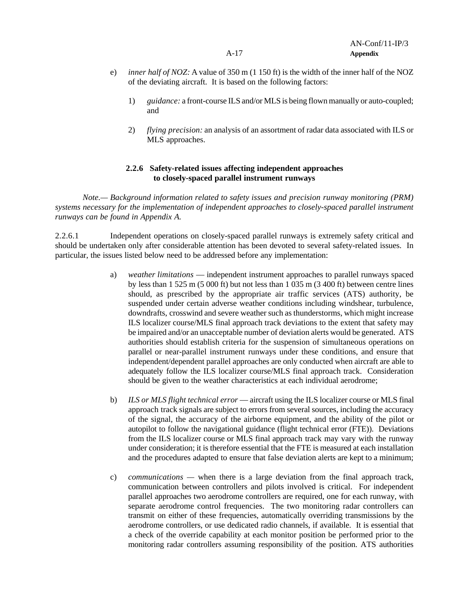- e) *inner half of NOZ:* A value of 350 m (1 150 ft) is the width of the inner half of the NOZ of the deviating aircraft. It is based on the following factors:
	- 1) *guidance:* a front-course ILS and/or MLS is being flown manually or auto-coupled; and
	- 2) *flying precision:* an analysis of an assortment of radar data associated with ILS or MLS approaches.

## **2.2.6 Safety-related issues affecting independent approaches to closely-spaced parallel instrument runways**

*Note.— Background information related to safety issues and precision runway monitoring (PRM) systems necessary for the implementation of independent approaches to closely-spaced parallel instrument runways can be found in Appendix A.*

2.2.6.1 Independent operations on closely-spaced parallel runways is extremely safety critical and should be undertaken only after considerable attention has been devoted to several safety-related issues. In particular, the issues listed below need to be addressed before any implementation:

- a) *weather limitations*  independent instrument approaches to parallel runways spaced by less than 1 525 m (5 000 ft) but not less than 1 035 m (3 400 ft) between centre lines should, as prescribed by the appropriate air traffic services (ATS) authority, be suspended under certain adverse weather conditions including windshear, turbulence, downdrafts, crosswind and severe weather such as thunderstorms, which might increase ILS localizer course/MLS final approach track deviations to the extent that safety may be impaired and/or an unacceptable number of deviation alerts would be generated. ATS authorities should establish criteria for the suspension of simultaneous operations on parallel or near-parallel instrument runways under these conditions, and ensure that independent/dependent parallel approaches are only conducted when aircraft are able to adequately follow the ILS localizer course/MLS final approach track. Consideration should be given to the weather characteristics at each individual aerodrome;
- b) *ILS or MLS flight technical error*  aircraft using the ILS localizer course or MLS final approach track signals are subject to errors from several sources, including the accuracy of the signal, the accuracy of the airborne equipment, and the ability of the pilot or autopilot to follow the navigational guidance (flight technical error (FTE)). Deviations from the ILS localizer course or MLS final approach track may vary with the runway under consideration; it is therefore essential that the FTE is measured at each installation and the procedures adapted to ensure that false deviation alerts are kept to a minimum;
- c) *communications —* when there is a large deviation from the final approach track, communication between controllers and pilots involved is critical. For independent parallel approaches two aerodrome controllers are required, one for each runway, with separate aerodrome control frequencies. The two monitoring radar controllers can transmit on either of these frequencies, automatically overriding transmissions by the aerodrome controllers, or use dedicated radio channels, if available. It is essential that a check of the override capability at each monitor position be performed prior to the monitoring radar controllers assuming responsibility of the position. ATS authorities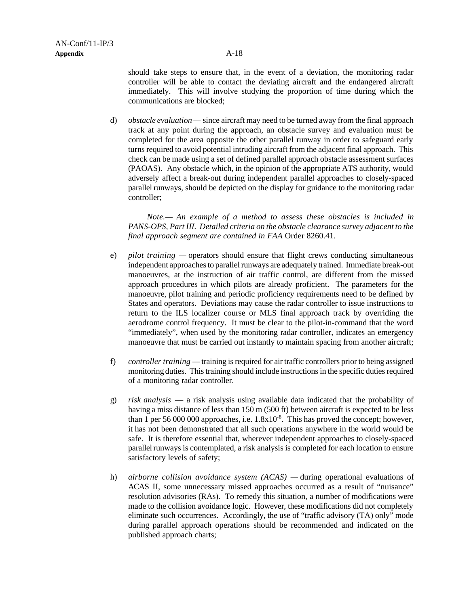should take steps to ensure that, in the event of a deviation, the monitoring radar controller will be able to contact the deviating aircraft and the endangered aircraft immediately. This will involve studying the proportion of time during which the communications are blocked;

d) *obstacle evaluation —* since aircraft may need to be turned away from the final approach track at any point during the approach, an obstacle survey and evaluation must be completed for the area opposite the other parallel runway in order to safeguard early turns required to avoid potential intruding aircraft from the adjacent final approach. This check can be made using a set of defined parallel approach obstacle assessment surfaces (PAOAS). Any obstacle which, in the opinion of the appropriate ATS authority, would adversely affect a break-out during independent parallel approaches to closely-spaced parallel runways, should be depicted on the display for guidance to the monitoring radar controller;

*Note.— An example of a method to assess these obstacles is included in PANS-OPS, Part III. Detailed criteria on the obstacle clearance survey adjacent to the final approach segment are contained in FAA* Order 8260.41.

- e) *pilot training —* operators should ensure that flight crews conducting simultaneous independent approaches to parallel runways are adequately trained. Immediate break-out manoeuvres, at the instruction of air traffic control, are different from the missed approach procedures in which pilots are already proficient. The parameters for the manoeuvre, pilot training and periodic proficiency requirements need to be defined by States and operators. Deviations may cause the radar controller to issue instructions to return to the ILS localizer course or MLS final approach track by overriding the aerodrome control frequency. It must be clear to the pilot-in-command that the word "immediately", when used by the monitoring radar controller, indicates an emergency manoeuvre that must be carried out instantly to maintain spacing from another aircraft;
- f) *controller training —* training is required for air traffic controllers prior to being assigned monitoring duties. This training should include instructions in the specific duties required of a monitoring radar controller.
- g) *risk analysis*  a risk analysis using available data indicated that the probability of having a miss distance of less than 150 m (500 ft) between aircraft is expected to be less than 1 per 56 000 000 approaches, i.e.  $1.8 \times 10^{-8}$ . This has proved the concept; however, it has not been demonstrated that all such operations anywhere in the world would be safe. It is therefore essential that, wherever independent approaches to closely-spaced parallel runways is contemplated, a risk analysis is completed for each location to ensure satisfactory levels of safety;
- h) *airborne collision avoidance system (ACAS) —* during operational evaluations of ACAS II, some unnecessary missed approaches occurred as a result of "nuisance" resolution advisories (RAs). To remedy this situation, a number of modifications were made to the collision avoidance logic. However, these modifications did not completely eliminate such occurrences. Accordingly, the use of "traffic advisory (TA) only" mode during parallel approach operations should be recommended and indicated on the published approach charts;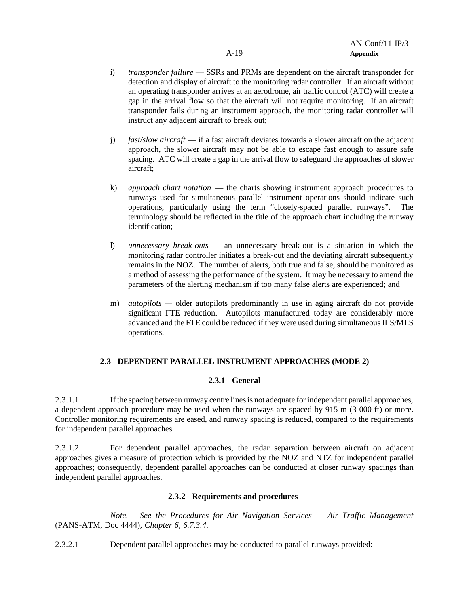- i) *transponder failure*  SSRs and PRMs are dependent on the aircraft transponder for detection and display of aircraft to the monitoring radar controller. If an aircraft without an operating transponder arrives at an aerodrome, air traffic control (ATC) will create a gap in the arrival flow so that the aircraft will not require monitoring. If an aircraft transponder fails during an instrument approach, the monitoring radar controller will instruct any adjacent aircraft to break out;
- j) *fast/slow aircraft*  if a fast aircraft deviates towards a slower aircraft on the adjacent approach, the slower aircraft may not be able to escape fast enough to assure safe spacing. ATC will create a gap in the arrival flow to safeguard the approaches of slower aircraft;
- k) *approach chart notation*  the charts showing instrument approach procedures to runways used for simultaneous parallel instrument operations should indicate such operations, particularly using the term "closely-spaced parallel runways". The terminology should be reflected in the title of the approach chart including the runway identification;
- l) *unnecessary break-outs —* an unnecessary break-out is a situation in which the monitoring radar controller initiates a break-out and the deviating aircraft subsequently remains in the NOZ. The number of alerts, both true and false, should be monitored as a method of assessing the performance of the system. It may be necessary to amend the parameters of the alerting mechanism if too many false alerts are experienced; and
- m) *autopilots* older autopilots predominantly in use in aging aircraft do not provide significant FTE reduction. Autopilots manufactured today are considerably more advanced and the FTE could be reduced if they were used during simultaneous ILS/MLS operations.

## **2.3 DEPENDENT PARALLEL INSTRUMENT APPROACHES (MODE 2)**

## **2.3.1 General**

2.3.1.1 If the spacing between runway centre lines is not adequate for independent parallel approaches, a dependent approach procedure may be used when the runways are spaced by 915 m (3 000 ft) or more. Controller monitoring requirements are eased, and runway spacing is reduced, compared to the requirements for independent parallel approaches.

2.3.1.2 For dependent parallel approaches, the radar separation between aircraft on adjacent approaches gives a measure of protection which is provided by the NOZ and NTZ for independent parallel approaches; consequently, dependent parallel approaches can be conducted at closer runway spacings than independent parallel approaches.

## **2.3.2 Requirements and procedures**

*Note.— See the Procedures for Air Navigation Services — Air Traffic Management* (PANS-ATM, Doc 4444)*, Chapter 6, 6.7.3.4.*

2.3.2.1 Dependent parallel approaches may be conducted to parallel runways provided: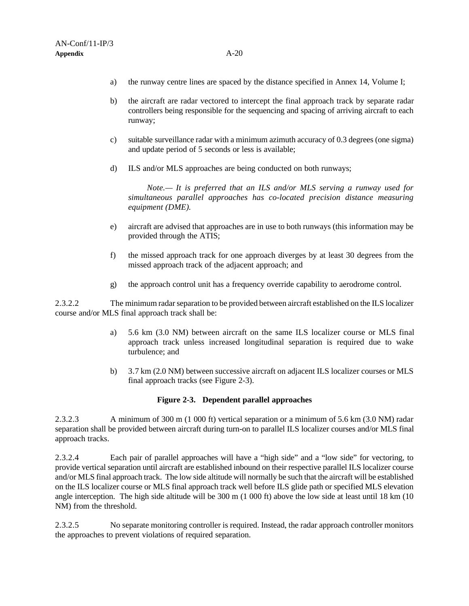- a) the runway centre lines are spaced by the distance specified in Annex 14, Volume I;
- b) the aircraft are radar vectored to intercept the final approach track by separate radar controllers being responsible for the sequencing and spacing of arriving aircraft to each runway;
- c) suitable surveillance radar with a minimum azimuth accuracy of 0.3 degrees (one sigma) and update period of 5 seconds or less is available;
- d) ILS and/or MLS approaches are being conducted on both runways;

*Note.— It is preferred that an ILS and/or MLS serving a runway used for simultaneous parallel approaches has co-located precision distance measuring equipment (DME).*

- e) aircraft are advised that approaches are in use to both runways (this information may be provided through the ATIS;
- f) the missed approach track for one approach diverges by at least 30 degrees from the missed approach track of the adjacent approach; and
- g) the approach control unit has a frequency override capability to aerodrome control.

2.3.2.2 The minimum radar separation to be provided between aircraft established on the ILS localizer course and/or MLS final approach track shall be:

- a) 5.6 km (3.0 NM) between aircraft on the same ILS localizer course or MLS final approach track unless increased longitudinal separation is required due to wake turbulence; and
- b) 3.7 km (2.0 NM) between successive aircraft on adjacent ILS localizer courses or MLS final approach tracks (see Figure 2-3).

### **Figure 2-3. Dependent parallel approaches**

2.3.2.3 A minimum of 300 m (1 000 ft) vertical separation or a minimum of 5.6 km (3.0 NM) radar separation shall be provided between aircraft during turn-on to parallel ILS localizer courses and/or MLS final approach tracks.

2.3.2.4 Each pair of parallel approaches will have a "high side" and a "low side" for vectoring, to provide vertical separation until aircraft are established inbound on their respective parallel ILS localizer course and/or MLS final approach track. The low side altitude will normally be such that the aircraft will be established on the ILS localizer course or MLS final approach track well before ILS glide path or specified MLS elevation angle interception. The high side altitude will be 300 m (1 000 ft) above the low side at least until 18 km (10 NM) from the threshold.

2.3.2.5 No separate monitoring controller is required. Instead, the radar approach controller monitors the approaches to prevent violations of required separation.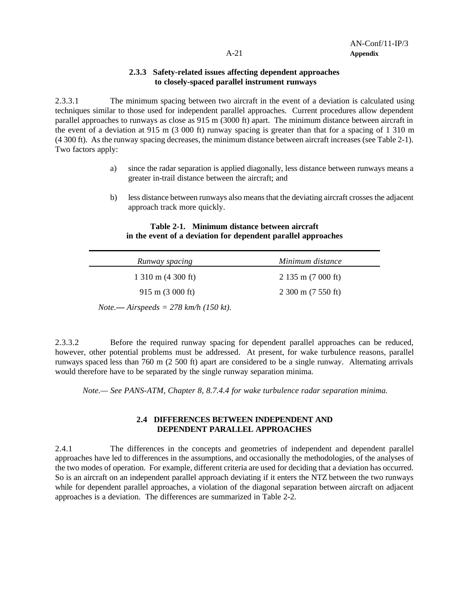## **2.3.3 Safety-related issues affecting dependent approaches to closely-spaced parallel instrument runways**

2.3.3.1 The minimum spacing between two aircraft in the event of a deviation is calculated using techniques similar to those used for independent parallel approaches. Current procedures allow dependent parallel approaches to runways as close as 915 m (3000 ft) apart. The minimum distance between aircraft in the event of a deviation at 915 m (3 000 ft) runway spacing is greater than that for a spacing of 1 310 m (4 300 ft). As the runway spacing decreases, the minimum distance between aircraft increases (see Table 2-1). Two factors apply:

- a) since the radar separation is applied diagonally, less distance between runways means a greater in-trail distance between the aircraft; and
- b) less distance between runways also means that the deviating aircraft crosses the adjacent approach track more quickly.

## **Table 2-1. Minimum distance between aircraft in the event of a deviation for dependent parallel approaches**

| Runway spacing                                  | Minimum distance     |
|-------------------------------------------------|----------------------|
| $1\,310$ m $(4\,300)$ ft)                       | $2135$ m (7 000 ft)  |
| $915 \text{ m}$ (3 000 ft)                      | $2300$ m $(7550$ ft) |
| Note.— Airspeeds = $278 \text{ km/h}$ (150 kt). |                      |

2.3.3.2 Before the required runway spacing for dependent parallel approaches can be reduced, however, other potential problems must be addressed. At present, for wake turbulence reasons, parallel runways spaced less than 760 m (2 500 ft) apart are considered to be a single runway. Alternating arrivals would therefore have to be separated by the single runway separation minima.

*Note.— See PANS-ATM, Chapter 8, 8.7.4.4 for wake turbulence radar separation minima.*

## **2.4 DIFFERENCES BETWEEN INDEPENDENT AND DEPENDENT PARALLEL APPROACHES**

2.4.1 The differences in the concepts and geometries of independent and dependent parallel approaches have led to differences in the assumptions, and occasionally the methodologies, of the analyses of the two modes of operation. For example, different criteria are used for deciding that a deviation has occurred. So is an aircraft on an independent parallel approach deviating if it enters the NTZ between the two runways while for dependent parallel approaches, a violation of the diagonal separation between aircraft on adjacent approaches is a deviation. The differences are summarized in Table 2-2.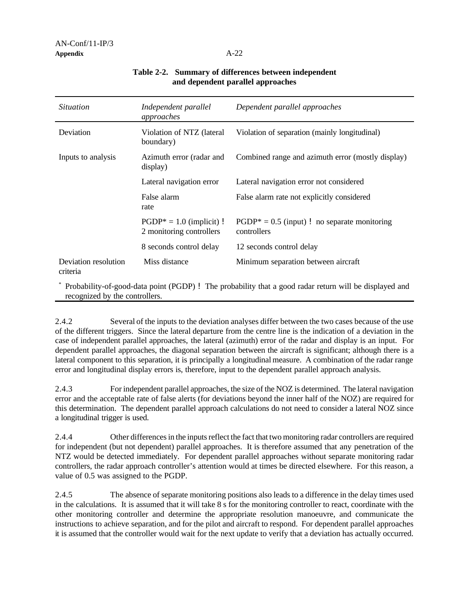| <i>Situation</i>                 | Independent parallel<br>approaches                     | Dependent parallel approaches                                                            |
|----------------------------------|--------------------------------------------------------|------------------------------------------------------------------------------------------|
| Deviation                        | Violation of NTZ (lateral<br>boundary)                 | Violation of separation (mainly longitudinal)                                            |
| Inputs to analysis               | Azimuth error (radar and<br>display)                   | Combined range and azimuth error (mostly display)                                        |
|                                  | Lateral navigation error                               | Lateral navigation error not considered                                                  |
|                                  | False alarm<br>rate                                    | False alarm rate not explicitly considered                                               |
|                                  | $PGDP* = 1.0$ (implicit) !<br>2 monitoring controllers | $PGDP^* = 0.5$ (input) ! no separate monitoring<br>controllers                           |
|                                  | 8 seconds control delay                                | 12 seconds control delay                                                                 |
| Deviation resolution<br>criteria | Miss distance                                          | Minimum separation between aircraft                                                      |
|                                  |                                                        | $*$ p i i i i $\ell$ i i i i $\ell$ . The conditional minimum is in the condition of $*$ |

## **Table 2-2. Summary of differences between independent and dependent parallel approaches**

Probability-of-good-data point (PGDP) ! The probability that a good radar return will be displayed and recognized by the controllers.

2.4.2 Several of the inputs to the deviation analyses differ between the two cases because of the use of the different triggers. Since the lateral departure from the centre line is the indication of a deviation in the case of independent parallel approaches, the lateral (azimuth) error of the radar and display is an input. For dependent parallel approaches, the diagonal separation between the aircraft is significant; although there is a lateral component to this separation, it is principally a longitudinal measure. A combination of the radar range error and longitudinal display errors is, therefore, input to the dependent parallel approach analysis.

2.4.3 For independent parallel approaches, the size of the NOZ is determined. The lateral navigation error and the acceptable rate of false alerts (for deviations beyond the inner half of the NOZ) are required for this determination. The dependent parallel approach calculations do not need to consider a lateral NOZ since a longitudinal trigger is used.

2.4.4 Other differences in the inputs reflect the fact that two monitoring radar controllers are required for independent (but not dependent) parallel approaches. It is therefore assumed that any penetration of the NTZ would be detected immediately. For dependent parallel approaches without separate monitoring radar controllers, the radar approach controller's attention would at times be directed elsewhere. For this reason, a value of 0.5 was assigned to the PGDP.

2.4.5 The absence of separate monitoring positions also leads to a difference in the delay times used in the calculations. It is assumed that it will take 8 s for the monitoring controller to react, coordinate with the other monitoring controller and determine the appropriate resolution manoeuvre, and communicate the instructions to achieve separation, and for the pilot and aircraft to respond. For dependent parallel approaches it is assumed that the controller would wait for the next update to verify that a deviation has actually occurred.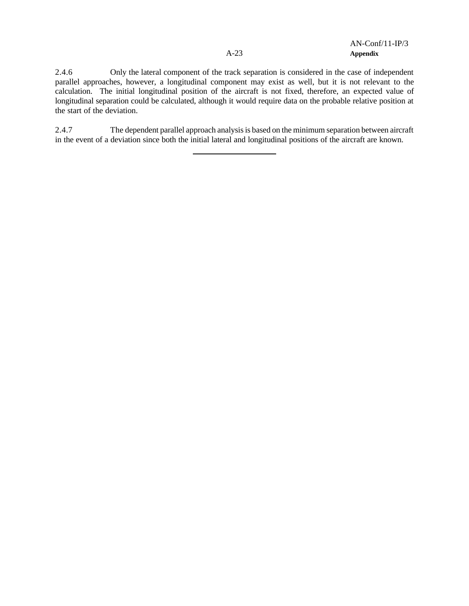2.4.6 Only the lateral component of the track separation is considered in the case of independent parallel approaches, however, a longitudinal component may exist as well, but it is not relevant to the calculation. The initial longitudinal position of the aircraft is not fixed, therefore, an expected value of longitudinal separation could be calculated, although it would require data on the probable relative position at the start of the deviation.

2.4.7 The dependent parallel approach analysis is based on the minimum separation between aircraft in the event of a deviation since both the initial lateral and longitudinal positions of the aircraft are known.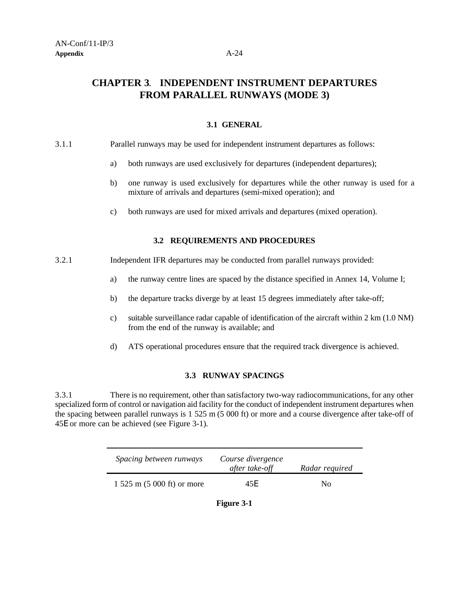## **CHAPTER 3**. **INDEPENDENT INSTRUMENT DEPARTURES FROM PARALLEL RUNWAYS (MODE 3)**

## **3.1 GENERAL**

## 3.1.1 Parallel runways may be used for independent instrument departures as follows:

- a) both runways are used exclusively for departures (independent departures);
- b) one runway is used exclusively for departures while the other runway is used for a mixture of arrivals and departures (semi-mixed operation); and
- c) both runways are used for mixed arrivals and departures (mixed operation).

## **3.2 REQUIREMENTS AND PROCEDURES**

- 3.2.1 Independent IFR departures may be conducted from parallel runways provided:
	- a) the runway centre lines are spaced by the distance specified in Annex 14, Volume I;
	- b) the departure tracks diverge by at least 15 degrees immediately after take-off;
	- c) suitable surveillance radar capable of identification of the aircraft within 2 km (1.0 NM) from the end of the runway is available; and
	- d) ATS operational procedures ensure that the required track divergence is achieved.

### **3.3 RUNWAY SPACINGS**

3.3.1 There is no requirement, other than satisfactory two-way radiocommunications, for any other specialized form of control or navigation aid facility for the conduct of independent instrument departures when the spacing between parallel runways is 1 525 m (5 000 ft) or more and a course divergence after take-off of 45E or more can be achieved (see Figure 3-1).

| <i>Spacing between runways</i>  | Course divergence<br>after take-off | Radar required |
|---------------------------------|-------------------------------------|----------------|
| $1,525$ m $(5,000)$ ft) or more | 45F                                 | No             |

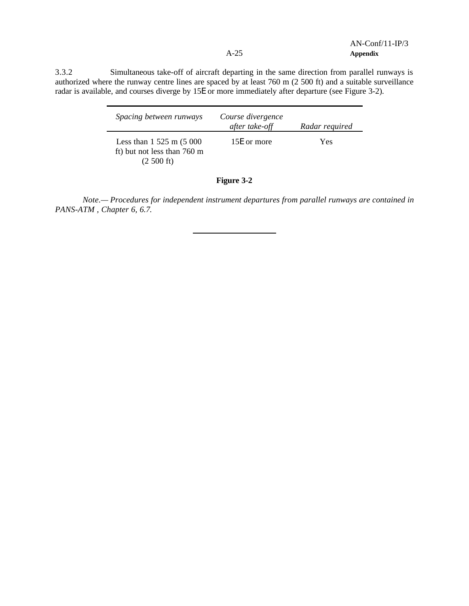AN-Conf/11-IP/3 A-25 **Appendix**

3.3.2 Simultaneous take-off of aircraft departing in the same direction from parallel runways is authorized where the runway centre lines are spaced by at least 760 m (2 500 ft) and a suitable surveillance radar is available, and courses diverge by 15E or more immediately after departure (see Figure 3-2).

| <i>Spacing between runways</i>                                                         | Course divergence<br>after take-off | Radar required |
|----------------------------------------------------------------------------------------|-------------------------------------|----------------|
| Less than $1\,525$ m $(5\,000)$<br>ft) but not less than 760 m<br>$(2,500 \text{ ft})$ | 15E or more                         | Yes            |

## **Figure 3-2**

*Note.— Procedures for independent instrument departures from parallel runways are contained in PANS-ATM , Chapter 6, 6.7*.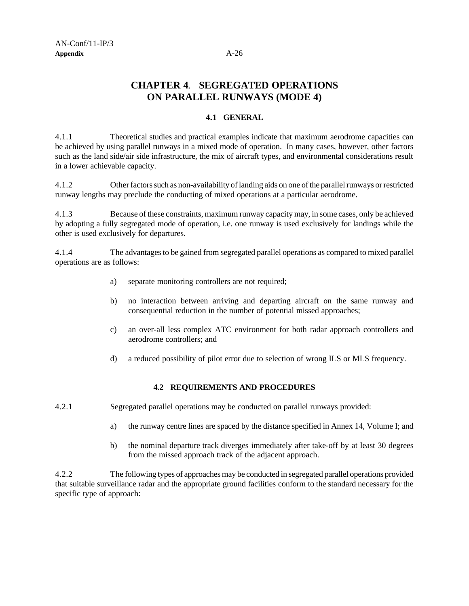## **CHAPTER 4**. **SEGREGATED OPERATIONS ON PARALLEL RUNWAYS (MODE 4)**

## **4.1 GENERAL**

4.1.1 Theoretical studies and practical examples indicate that maximum aerodrome capacities can be achieved by using parallel runways in a mixed mode of operation. In many cases, however, other factors such as the land side/air side infrastructure, the mix of aircraft types, and environmental considerations result in a lower achievable capacity.

4.1.2 Other factors such as non-availability of landing aids on one of the parallel runways or restricted runway lengths may preclude the conducting of mixed operations at a particular aerodrome.

4.1.3 Because of these constraints, maximum runway capacity may, in some cases, only be achieved by adopting a fully segregated mode of operation, i.e. one runway is used exclusively for landings while the other is used exclusively for departures.

4.1.4 The advantages to be gained from segregated parallel operations as compared to mixed parallel operations are as follows:

- a) separate monitoring controllers are not required;
- b) no interaction between arriving and departing aircraft on the same runway and consequential reduction in the number of potential missed approaches;
- c) an over-all less complex ATC environment for both radar approach controllers and aerodrome controllers; and
- d) a reduced possibility of pilot error due to selection of wrong ILS or MLS frequency.

## **4.2 REQUIREMENTS AND PROCEDURES**

4.2.1 Segregated parallel operations may be conducted on parallel runways provided:

- a) the runway centre lines are spaced by the distance specified in Annex 14, Volume I; and
- b) the nominal departure track diverges immediately after take-off by at least 30 degrees from the missed approach track of the adjacent approach.

4.2.2 The following types of approaches may be conducted in segregated parallel operations provided that suitable surveillance radar and the appropriate ground facilities conform to the standard necessary for the specific type of approach: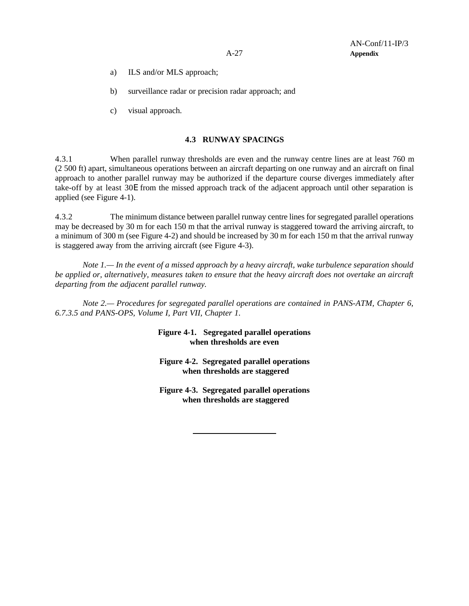- a) ILS and/or MLS approach;
- b) surveillance radar or precision radar approach; and
- c) visual approach.

### **4.3 RUNWAY SPACINGS**

4.3.1 When parallel runway thresholds are even and the runway centre lines are at least 760 m (2 500 ft) apart, simultaneous operations between an aircraft departing on one runway and an aircraft on final approach to another parallel runway may be authorized if the departure course diverges immediately after take-off by at least 30E from the missed approach track of the adjacent approach until other separation is applied (see Figure 4-1).

4.3.2 The minimum distance between parallel runway centre lines for segregated parallel operations may be decreased by 30 m for each 150 m that the arrival runway is staggered toward the arriving aircraft, to a minimum of 300 m (see Figure 4-2) and should be increased by 30 m for each 150 m that the arrival runway is staggered away from the arriving aircraft (see Figure 4-3).

*Note 1.— In the event of a missed approach by a heavy aircraft, wake turbulence separation should be applied or, alternatively, measures taken to ensure that the heavy aircraft does not overtake an aircraft departing from the adjacent parallel runway.*

*Note 2.— Procedures for segregated parallel operations are contained in PANS-ATM, Chapter 6, 6.7.3.5 and PANS-OPS, Volume I, Part VII, Chapter 1.*

> **Figure 4-1. Segregated parallel operations when thresholds are even**

> **Figure 4-2. Segregated parallel operations when thresholds are staggered**

> **Figure 4-3. Segregated parallel operations when thresholds are staggered**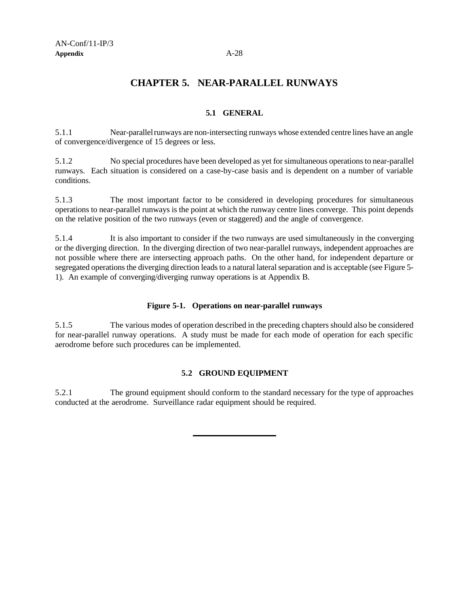## **CHAPTER 5. NEAR-PARALLEL RUNWAYS**

## **5.1 GENERAL**

5.1.1 Near-parallel runways are non-intersecting runways whose extended centre lines have an angle of convergence/divergence of 15 degrees or less.

5.1.2 No special procedures have been developed as yet for simultaneous operations to near-parallel runways. Each situation is considered on a case-by-case basis and is dependent on a number of variable conditions.

5.1.3 The most important factor to be considered in developing procedures for simultaneous operations to near-parallel runways is the point at which the runway centre lines converge. This point depends on the relative position of the two runways (even or staggered) and the angle of convergence.

5.1.4 It is also important to consider if the two runways are used simultaneously in the converging or the diverging direction. In the diverging direction of two near-parallel runways, independent approaches are not possible where there are intersecting approach paths. On the other hand, for independent departure or segregated operations the diverging direction leads to a natural lateral separation and is acceptable (see Figure 5- 1). An example of converging/diverging runway operations is at Appendix B.

## **Figure 5-1. Operations on near-parallel runways**

5.1.5 The various modes of operation described in the preceding chapters should also be considered for near-parallel runway operations. A study must be made for each mode of operation for each specific aerodrome before such procedures can be implemented.

## **5.2 GROUND EQUIPMENT**

5.2.1 The ground equipment should conform to the standard necessary for the type of approaches conducted at the aerodrome. Surveillance radar equipment should be required.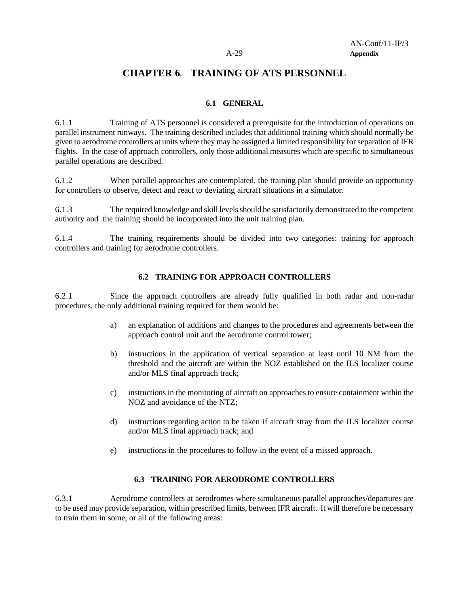## **CHAPTER 6**. **TRAINING OF ATS PERSONNEL**

## **6.1 GENERAL**

6.1.1 Training of ATS personnel is considered a prerequisite for the introduction of operations on parallel instrument runways. The training described includes that additional training which should normally be given to aerodrome controllers at units where they may be assigned a limited responsibility for separation of IFR flights. In the case of approach controllers, only those additional measures which are specific to simultaneous parallel operations are described.

6.1.2 When parallel approaches are contemplated, the training plan should provide an opportunity for controllers to observe, detect and react to deviating aircraft situations in a simulator.

6.1.3 The required knowledge and skill levels should be satisfactorily demonstrated to the competent authority and the training should be incorporated into the unit training plan.

6.1.4 The training requirements should be divided into two categories: training for approach controllers and training for aerodrome controllers.

## **6.2 TRAINING FOR APPROACH CONTROLLERS**

6.2.1 Since the approach controllers are already fully qualified in both radar and non-radar procedures, the only additional training required for them would be:

- a) an explanation of additions and changes to the procedures and agreements between the approach control unit and the aerodrome control tower;
- b) instructions in the application of vertical separation at least until 10 NM from the threshold and the aircraft are within the NOZ established on the ILS localizer course and/or MLS final approach track;
- c) instructions in the monitoring of aircraft on approaches to ensure containment within the NOZ and avoidance of the NTZ;
- d) instructions regarding action to be taken if aircraft stray from the ILS localizer course and/or MLS final approach track; and
- e) instructions in the procedures to follow in the event of a missed approach.

## **6.3 TRAINING FOR AERODROME CONTROLLERS**

6.3.1 Aerodrome controllers at aerodromes where simultaneous parallel approaches/departures are to be used may provide separation, within prescribed limits, between IFR aircraft. It will therefore be necessary to train them in some, or all of the following areas: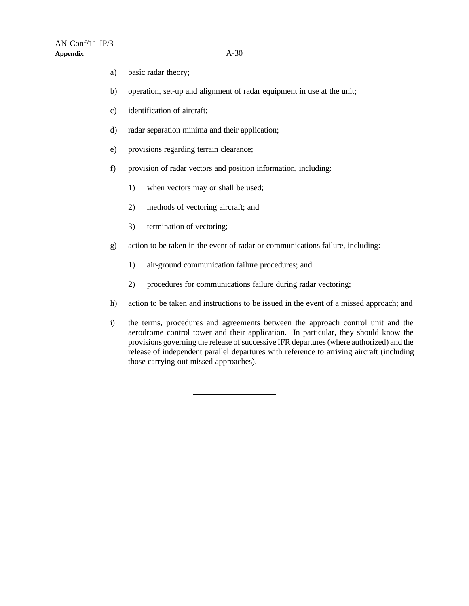- a) basic radar theory;
- b) operation, set-up and alignment of radar equipment in use at the unit;
- c) identification of aircraft;
- d) radar separation minima and their application;
- e) provisions regarding terrain clearance;
- f) provision of radar vectors and position information, including:
	- 1) when vectors may or shall be used;
	- 2) methods of vectoring aircraft; and
	- 3) termination of vectoring;
- g) action to be taken in the event of radar or communications failure, including:
	- 1) air-ground communication failure procedures; and
	- 2) procedures for communications failure during radar vectoring;
- h) action to be taken and instructions to be issued in the event of a missed approach; and
- i) the terms, procedures and agreements between the approach control unit and the aerodrome control tower and their application. In particular, they should know the provisions governing the release of successive IFR departures (where authorized) and the release of independent parallel departures with reference to arriving aircraft (including those carrying out missed approaches).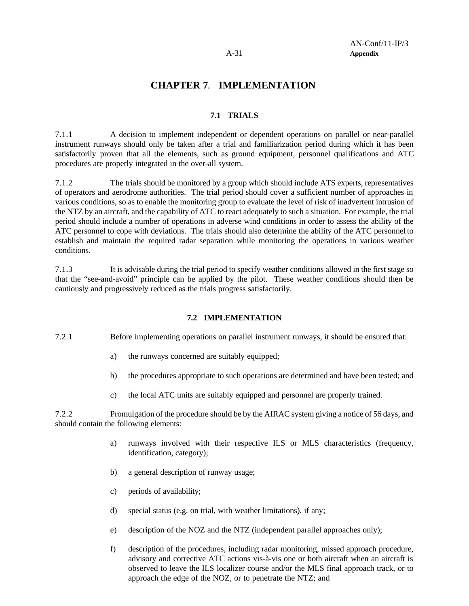## **CHAPTER 7**. **IMPLEMENTATION**

## **7.1 TRIALS**

7.1.1 A decision to implement independent or dependent operations on parallel or near-parallel instrument runways should only be taken after a trial and familiarization period during which it has been satisfactorily proven that all the elements, such as ground equipment, personnel qualifications and ATC procedures are properly integrated in the over-all system.

7.1.2 The trials should be monitored by a group which should include ATS experts, representatives of operators and aerodrome authorities. The trial period should cover a sufficient number of approaches in various conditions, so as to enable the monitoring group to evaluate the level of risk of inadvertent intrusion of the NTZ by an aircraft, and the capability of ATC to react adequately to such a situation. For example, the trial period should include a number of operations in adverse wind conditions in order to assess the ability of the ATC personnel to cope with deviations. The trials should also determine the ability of the ATC personnel to establish and maintain the required radar separation while monitoring the operations in various weather conditions.

7.1.3 It is advisable during the trial period to specify weather conditions allowed in the first stage so that the "see-and-avoid" principle can be applied by the pilot. These weather conditions should then be cautiously and progressively reduced as the trials progress satisfactorily.

## **7.2 IMPLEMENTATION**

- 7.2.1 Before implementing operations on parallel instrument runways, it should be ensured that:
	- a) the runways concerned are suitably equipped;
	- b) the procedures appropriate to such operations are determined and have been tested; and
	- c) the local ATC units are suitably equipped and personnel are properly trained.

7.2.2 Promulgation of the procedure should be by the AIRAC system giving a notice of 56 days, and should contain the following elements:

- a) runways involved with their respective ILS or MLS characteristics (frequency, identification, category);
- b) a general description of runway usage;
- c) periods of availability;
- d) special status (e.g. on trial, with weather limitations), if any;
- e) description of the NOZ and the NTZ (independent parallel approaches only);
- f) description of the procedures, including radar monitoring, missed approach procedure, advisory and corrective ATC actions vis-à-vis one or both aircraft when an aircraft is observed to leave the ILS localizer course and/or the MLS final approach track, or to approach the edge of the NOZ, or to penetrate the NTZ; and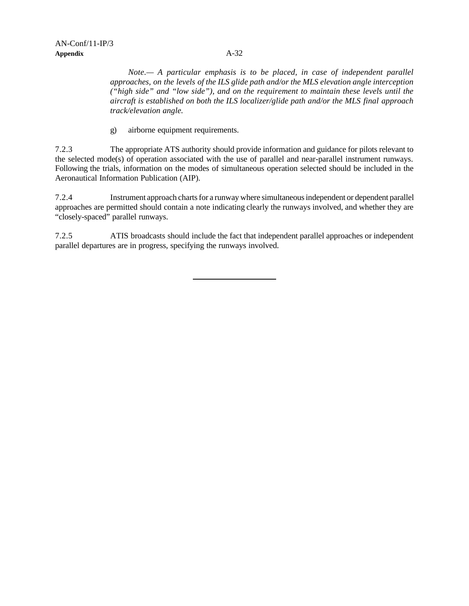*Note.— A particular emphasis is to be placed, in case of independent parallel approaches, on the levels of the ILS glide path and/or the MLS elevation angle interception ("high side" and "low side"), and on the requirement to maintain these levels until the aircraft is established on both the ILS localizer/glide path and/or the MLS final approach track/elevation angle.*

g) airborne equipment requirements.

7.2.3 The appropriate ATS authority should provide information and guidance for pilots relevant to the selected mode(s) of operation associated with the use of parallel and near-parallel instrument runways. Following the trials, information on the modes of simultaneous operation selected should be included in the Aeronautical Information Publication (AIP).

7.2.4 Instrument approach charts for a runway where simultaneous independent or dependent parallel approaches are permitted should contain a note indicating clearly the runways involved, and whether they are "closely-spaced" parallel runways.

7.2.5 ATIS broadcasts should include the fact that independent parallel approaches or independent parallel departures are in progress, specifying the runways involved.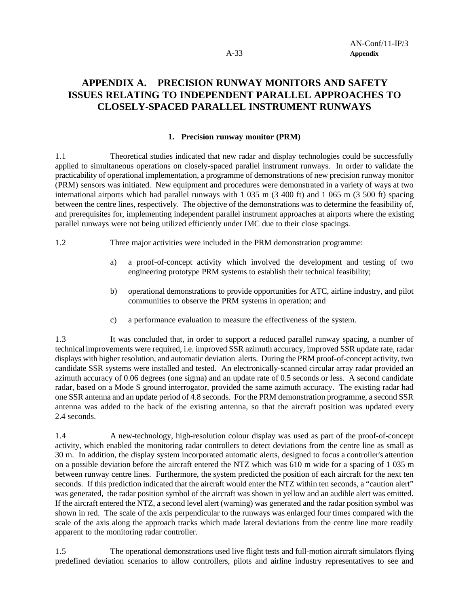## **APPENDIX A. PRECISION RUNWAY MONITORS AND SAFETY ISSUES RELATING TO INDEPENDENT PARALLEL APPROACHES TO CLOSELY-SPACED PARALLEL INSTRUMENT RUNWAYS**

### **1. Precision runway monitor (PRM)**

1.1 Theoretical studies indicated that new radar and display technologies could be successfully applied to simultaneous operations on closely-spaced parallel instrument runways. In order to validate the practicability of operational implementation, a programme of demonstrations of new precision runway monitor (PRM) sensors was initiated. New equipment and procedures were demonstrated in a variety of ways at two international airports which had parallel runways with 1 035 m (3 400 ft) and 1 065 m (3 500 ft) spacing between the centre lines, respectively. The objective of the demonstrations was to determine the feasibility of, and prerequisites for, implementing independent parallel instrument approaches at airports where the existing parallel runways were not being utilized efficiently under IMC due to their close spacings.

1.2 Three major activities were included in the PRM demonstration programme:

- a) a proof-of-concept activity which involved the development and testing of two engineering prototype PRM systems to establish their technical feasibility;
- b) operational demonstrations to provide opportunities for ATC, airline industry, and pilot communities to observe the PRM systems in operation; and
- c) a performance evaluation to measure the effectiveness of the system.

1.3 It was concluded that, in order to support a reduced parallel runway spacing, a number of technical improvements were required, i.e. improved SSR azimuth accuracy, improved SSR update rate, radar displays with higher resolution, and automatic deviation alerts. During the PRM proof-of-concept activity, two candidate SSR systems were installed and tested. An electronically-scanned circular array radar provided an azimuth accuracy of 0.06 degrees (one sigma) and an update rate of 0.5 seconds or less. A second candidate radar, based on a Mode S ground interrogator, provided the same azimuth accuracy. The existing radar had one SSR antenna and an update period of 4.8 seconds. For the PRM demonstration programme, a second SSR antenna was added to the back of the existing antenna, so that the aircraft position was updated every 2.4 seconds.

1.4 A new-technology, high-resolution colour display was used as part of the proof-of-concept activity, which enabled the monitoring radar controllers to detect deviations from the centre line as small as 30 m. In addition, the display system incorporated automatic alerts, designed to focus a controller's attention on a possible deviation before the aircraft entered the NTZ which was 610 m wide for a spacing of 1 035 m between runway centre lines. Furthermore, the system predicted the position of each aircraft for the next ten seconds. If this prediction indicated that the aircraft would enter the NTZ within ten seconds, a "caution alert" was generated, the radar position symbol of the aircraft was shown in yellow and an audible alert was emitted. If the aircraft entered the NTZ, a second level alert (warning) was generated and the radar position symbol was shown in red. The scale of the axis perpendicular to the runways was enlarged four times compared with the scale of the axis along the approach tracks which made lateral deviations from the centre line more readily apparent to the monitoring radar controller.

1.5 The operational demonstrations used live flight tests and full-motion aircraft simulators flying predefined deviation scenarios to allow controllers, pilots and airline industry representatives to see and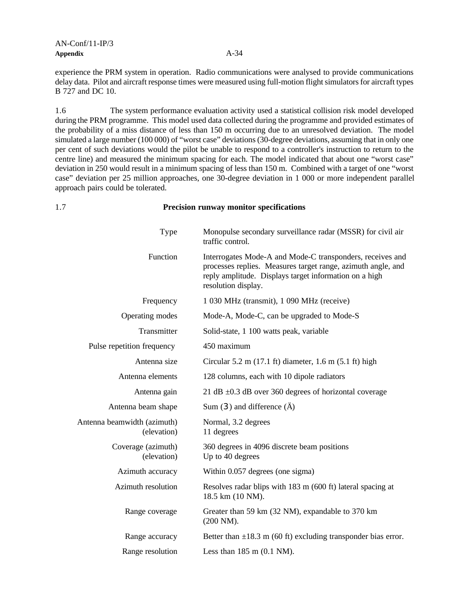experience the PRM system in operation. Radio communications were analysed to provide communications delay data. Pilot and aircraft response times were measured using full-motion flight simulators for aircraft types B 727 and DC 10.

1.6 The system performance evaluation activity used a statistical collision risk model developed during the PRM programme. This model used data collected during the programme and provided estimates of the probability of a miss distance of less than 150 m occurring due to an unresolved deviation. The model simulated a large number (100 000) of "worst case" deviations (30-degree deviations, assuming that in only one per cent of such deviations would the pilot be unable to respond to a controller's instruction to return to the centre line) and measured the minimum spacing for each. The model indicated that about one "worst case" deviation in 250 would result in a minimum spacing of less than 150 m. Combined with a target of one "worst case" deviation per 25 million approaches, one 30-degree deviation in 1 000 or more independent parallel approach pairs could be tolerated.

### 1.7 **Precision runway monitor specifications**

| Type                                       | Monopulse secondary surveillance radar (MSSR) for civil air<br>traffic control.                                                                                                                            |
|--------------------------------------------|------------------------------------------------------------------------------------------------------------------------------------------------------------------------------------------------------------|
| Function                                   | Interrogates Mode-A and Mode-C transponders, receives and<br>processes replies. Measures target range, azimuth angle, and<br>reply amplitude. Displays target information on a high<br>resolution display. |
| Frequency                                  | 1 030 MHz (transmit), 1 090 MHz (receive)                                                                                                                                                                  |
| Operating modes                            | Mode-A, Mode-C, can be upgraded to Mode-S                                                                                                                                                                  |
| Transmitter                                | Solid-state, 1 100 watts peak, variable                                                                                                                                                                    |
| Pulse repetition frequency                 | 450 maximum                                                                                                                                                                                                |
| Antenna size                               | Circular 5.2 m $(17.1 \text{ ft})$ diameter, 1.6 m $(5.1 \text{ ft})$ high                                                                                                                                 |
| Antenna elements                           | 128 columns, each with 10 dipole radiators                                                                                                                                                                 |
| Antenna gain                               | 21 dB $\pm$ 0.3 dB over 360 degrees of horizontal coverage                                                                                                                                                 |
| Antenna beam shape                         | Sum $(3)$ and difference $(\tilde{A})$                                                                                                                                                                     |
| Antenna beamwidth (azimuth)<br>(elevation) | Normal, 3.2 degrees<br>11 degrees                                                                                                                                                                          |
| Coverage (azimuth)<br>(elevation)          | 360 degrees in 4096 discrete beam positions<br>Up to 40 degrees                                                                                                                                            |
| Azimuth accuracy                           | Within 0.057 degrees (one sigma)                                                                                                                                                                           |
| Azimuth resolution                         | Resolves radar blips with 183 m (600 ft) lateral spacing at<br>18.5 km (10 NM).                                                                                                                            |
| Range coverage                             | Greater than 59 km (32 NM), expandable to 370 km<br>$(200\text{ NM}).$                                                                                                                                     |
| Range accuracy                             | Better than $\pm 18.3$ m (60 ft) excluding transponder bias error.                                                                                                                                         |
| Range resolution                           | Less than $185 \text{ m}$ (0.1 NM).                                                                                                                                                                        |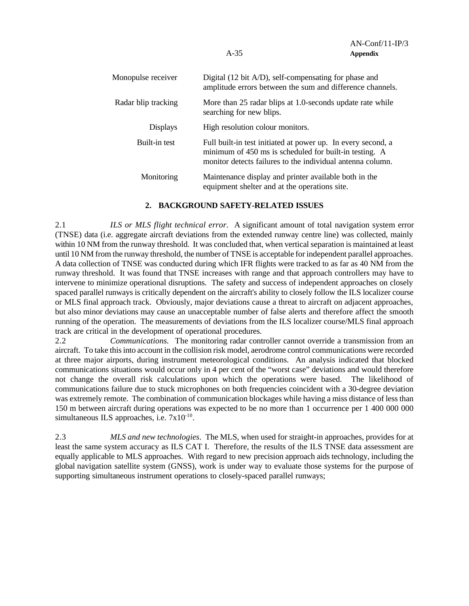| Monopulse receiver  | Digital (12 bit A/D), self-compensating for phase and<br>amplitude errors between the sum and difference channels.                                                                   |
|---------------------|--------------------------------------------------------------------------------------------------------------------------------------------------------------------------------------|
| Radar blip tracking | More than 25 radar blips at 1.0-seconds update rate while<br>searching for new blips.                                                                                                |
| <b>Displays</b>     | High resolution colour monitors.                                                                                                                                                     |
| Built-in test       | Full built-in test initiated at power up. In every second, a<br>minimum of 450 ms is scheduled for built-in testing. A<br>monitor detects failures to the individual antenna column. |
| Monitoring          | Maintenance display and printer available both in the<br>equipment shelter and at the operations site.                                                                               |

### **2. BACKGROUND SAFETY-RELATED ISSUES**

2.1 *ILS or MLS flight technical error.* A significant amount of total navigation system error (TNSE) data (i.e. aggregate aircraft deviations from the extended runway centre line) was collected, mainly within 10 NM from the runway threshold. It was concluded that, when vertical separation is maintained at least until 10 NM from the runway threshold, the number of TNSE is acceptable for independent parallel approaches. A data collection of TNSE was conducted during which IFR flights were tracked to as far as 40 NM from the runway threshold. It was found that TNSE increases with range and that approach controllers may have to intervene to minimize operational disruptions. The safety and success of independent approaches on closely spaced parallel runways is critically dependent on the aircraft's ability to closely follow the ILS localizer course or MLS final approach track. Obviously, major deviations cause a threat to aircraft on adjacent approaches, but also minor deviations may cause an unacceptable number of false alerts and therefore affect the smooth running of the operation. The measurements of deviations from the ILS localizer course/MLS final approach track are critical in the development of operational procedures.

2.2 *Communications.* The monitoring radar controller cannot override a transmission from an aircraft. To take this into account in the collision risk model, aerodrome control communications were recorded at three major airports, during instrument meteorological conditions. An analysis indicated that blocked communications situations would occur only in 4 per cent of the "worst case" deviations and would therefore not change the overall risk calculations upon which the operations were based. The likelihood of communications failure due to stuck microphones on both frequencies coincident with a 30-degree deviation was extremely remote. The combination of communication blockages while having a miss distance of less than 150 m between aircraft during operations was expected to be no more than 1 occurrence per 1 400 000 000 simultaneous ILS approaches, i.e.  $7x10^{-10}$ .

2.3 *MLS and new technologies*. The MLS, when used for straight-in approaches, provides for at least the same system accuracy as ILS CAT I. Therefore, the results of the ILS TNSE data assessment are equally applicable to MLS approaches. With regard to new precision approach aids technology, including the global navigation satellite system (GNSS), work is under way to evaluate those systems for the purpose of supporting simultaneous instrument operations to closely-spaced parallel runways;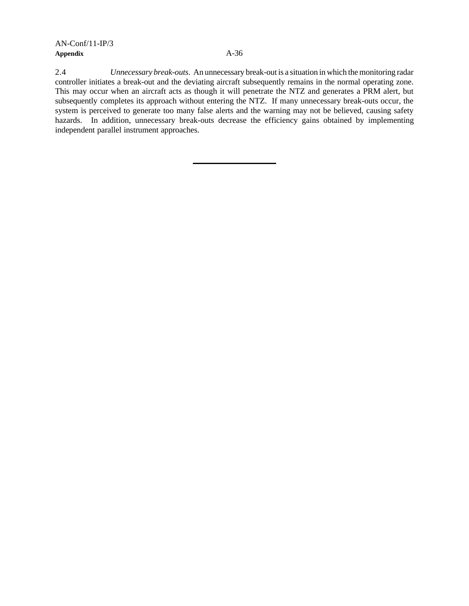## AN-Conf/11-IP/3 **Appendix** A-36

2.4 *Unnecessary break-outs*. An unnecessary break-out is a situation in which the monitoring radar controller initiates a break-out and the deviating aircraft subsequently remains in the normal operating zone. This may occur when an aircraft acts as though it will penetrate the NTZ and generates a PRM alert, but subsequently completes its approach without entering the NTZ. If many unnecessary break-outs occur, the system is perceived to generate too many false alerts and the warning may not be believed, causing safety hazards. In addition, unnecessary break-outs decrease the efficiency gains obtained by implementing independent parallel instrument approaches.